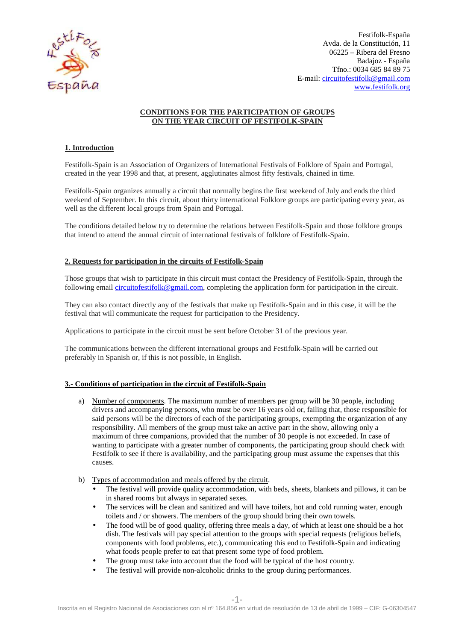

Avda. de la Constitución, 11 E-mail: circuitofestifolk@gmail.com Festifolk-España 06225 – Ribera del Fresno Badajoz - España Tfno.: 0034 685 84 89 75 www.festifolk.org

# **CONDITIONS FOR THE PARTICIPATION OF GROUPS ON THE YEAR CIRCUIT OF FESTIFOLK FESTIFOLK-SPAIN**

# **1. Introduction**

Festifolk-Spain is an Association of Organizers of International Festivals of Folklore of Spain and Portugal, created in the year 1998 and that, at present, agglutinates almost fifty festivals, chained in time.

Festifolk-Spain organizes annually a circuit that normally begins the first weekend of July and ends the third weekend of September. In this circuit, about thirty international Folklore groups are participating every year, as well as the different local groups from Spain and Portugal. Spain organizes annually a circuit that normally begins the first weekend of July and ends<br>of September. In this circuit, about thirty international Folklore groups are participating ev<br>e different local groups from Spain

The conditions detailed below try to determine the relations between Festifolk-Spain and those folklore groups that intend to attend the annual circuit of international festivals of folklore of Festifolk -Spain.

## **2. Requests for participation in the circuits of Festifolk Festifolk-Spain**

Those groups that wish to participate in this circuit must contact the Presidency of Festifolk-Spain, through the following email circuitofestifolk@gmail.com, completing the application form for participation in the circuit.

They can also contact directly any of the festivals that make up Festifolk-Spain and in this case, it will be the festival that will communicate the request for participation to the Presidency.

Applications to participate in the circuit must be sent before October 31 of the previous year.

The communications between the different international groups and Festifolk-Spain will be carried out preferably in Spanish or, if this is not possible, in English.

## **3.- Conditions of participation in the circuit of Festifolk Festifolk-Spain**

- a) Number of components. The maximum number of members per group will be 30 people, including drivers and accompanying persons, who must be over 16 years old or, failing that, those responsible for said persons will be the directors of each of the participating groups, exempting the organization of any responsibility. All members of the group must take an active part in the show, allowing only a maximum of three companions, provided that the number of 30 people is not exceeded. In case of wanting to participate with a greater number of components, the participating group should check with Festifolk to see if there is availability, and the participating group must assume the expenses that this causes. Spain and in this case, it will be the<br>ncy.<br>f the previous year.<br>folk-Spain will be carried out<br>group will be 30 people, including<br>ld or, failing that, those responsible for<br>ups, exempting the organization of any
- b) Types of accommodation and meals offered by the circuit.
	- The festival will provide quality accommodation, with beds, sheets, blankets and pillows, it can be in shared rooms but always in separated sexes.
	- The services will be clean and sanitized and will have toilets, hot and cold running water, enough toilets and / or showers. The members of the group should bring their own towels.
- The food will be of good quality, offering three meals a day, of which at least one should be a hot dish. The festivals will pay special attention to the groups with special requests (religious beliefs, components with food problems, etc.), communicating this end to Festifolk what foods people prefer to eat that present some type of food problem. ater number of components, the participating group should check with<br>bility, and the participating group must assume the expenses that this<br>eals offered by the circuit.<br>ality accommodation, with beds, sheets, blankets and
	- The group must take into account that the food will be typical of the host country.
	- The festival will provide non-alcoholic drinks to the group during performances.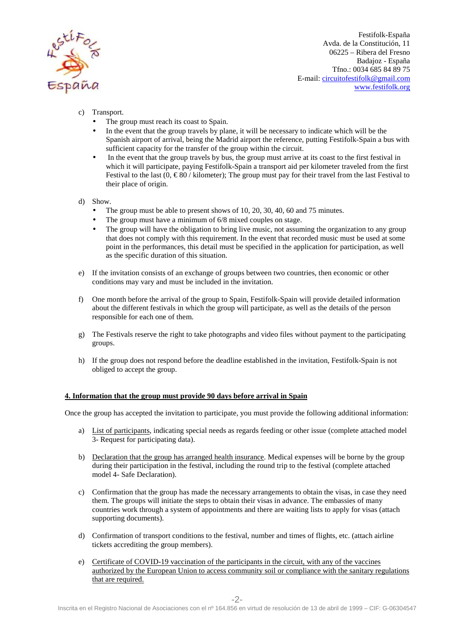

Avda. de la Constitución, 11 E-mail: circuitofestifolk@gmail.com Festifolk-España 06225 – Ribera del Fresno Badajoz - España Tfno.: 0034 685 84 89 75 www.festifolk.org

- c) Transport.
	- The group must reach its coast to Spain.
	- In the event that the group travels by plane, it will be necessary to indicate which will be the Spanish airport of arrival, being the Madrid airport the reference, putting Festifolk-Spain a bus with sufficient capacity for the transfer of the group within the circuit.
	- In the event that the group travels by bus, the group must arrive at its coast to the first festival in which it will participate, paying Festifolk-Spain a transport aid per kilometer traveled from the first Festival to the last  $(0, \in \mathcal{S}0$  / kilometer); The group must pay for their travel from the last Festival to their place of origin.
- d) Show.
	- The group must be able to present shows of 10, 20, 30, 40, 60 and 75 minutes.
	- The group must have a minimum of 6/8 mixed couples on stage.
- The group will have the obligation to bring live music, not assuming the organization to any group that does not comply with this requirement. In the event that recorded music must be used at some point in the performances, this detail must be specified in the application for participation, as well as the specific duration of this situation. ing Festifolk-Spain a transport aid per kilometer traveled from the firs<br>
'kilometer); Thegroup must pay for their travel from the last Festival t<br>
resent shows of 10, 20, 30, 40, 60 and 75 minutes.<br>
mum of 6/8 mixed coupl
- e) If the invitation consists of an exchange of groups between two countries, then economic or other conditions may vary and must be included in the inv ic duration of this situation.<br>
consists of an exchange of groups between that<br>
y and must be included in the invitation.
- f) One month before the arrival of the group to Spain, Festifolk-Spain will provide detailed information about the different festivals in which the group will participate, as well as the details of the person responsible for each one of them. f) One month before the arrival of the group to Spain, Festifolk-Spain will provide detailed information about the different festivals in which the group will participate, as well as the details of the person responsible f
- groups.
- h) If the group does not respond before the deadline established in the invitation, Festifolk Festifolk-Spain is not obliged to accept the group.

#### **4. Information that the group must provide 90 days before arrival in Spain**

Once the group has accepted the invitation to participate, you must provide the following additional information:

- a) List of participants, indicating special needs as regards feeding or other issue (complete attached model 3- Request for participating data).<br>b) Declaration that the group has arranged health insurance. Medical expenses 3- Request for participating data).
- b) Declaration that the group has arranged health insurance. Medical expenses will be borne by the group during their participation in the festival, including the round trip to the festival (complete attached model 4- Safe Declaration).
- c) Confirmation that the group has made the necessary arrangements to obtain the visas, in case they need them. The groups will initiate the steps to obtain their visas in advance. The embassies of many countries work through a system of appointments and there are waiting lists to apply for visas (attach supporting documents). st provide the following additional informat<br>eeding or other issue (complete attached mo<br>. Medical expenses will be borne by the ground trip to the festival (complete attached<br>ngements to obtain the visas, in case they n<br>s
- d) Confirmation of transport conditions to the festival, number and times of flights, etc. ( tickets accrediting the group members).
- e) Certificate of COVID-19 vaccination of the participants in the circuit, with any of the vaccines authorized by the European Union to access community soil or compliance with the sanitary regulations that are required.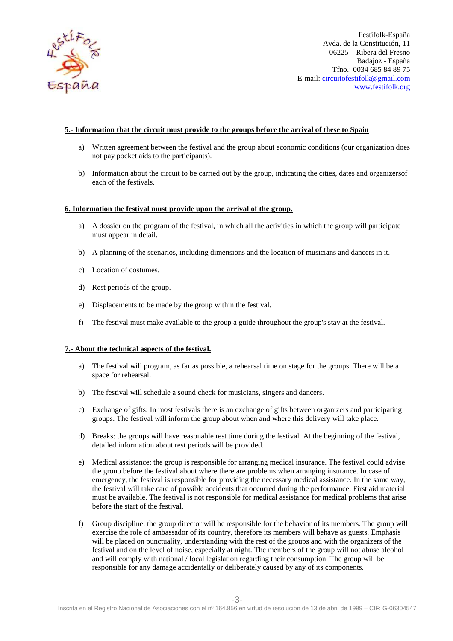

Avda. de la Constitución, 11 E-mail: circuitofestifolk@gmail.com Festifolk-España 06225 – Ribera del Fresno Badajoz - España Tfno.: 0034 685 84 89 75 www.festifolk.org

# **5.- Information that the circuit must provide to the groups before the arrival of these to Spain**

- a) Written agreement between the festival and the group about economic conditions conditions (our organization does not pay pocket aids to the participants).
- b) Information about the circuit to be carried out by the group, indicating the cities, dates and organizersof each of the festivals.

## **6. Information the festival must provide upon the arrival of the group.**

- a) A dossier on the program of the festival, in which all the activities in which the group will particip participate must appear in detail.
- b) A planning of the scenarios, including dimensions and the location of musicians and dancers in it.
- c) Location of costumes.
- d) Rest periods of the group.
- e) Displacements to be made by the group within the festival.
- f) The festival must make available to the group a guide throughout the group's stay at the festival.

## **7.- About the technical aspects of the festival.**

- a) The festival will program, as far as possible, a rehearsal time on stage for the groups. There wil space for rehearsal. and the location of musicians and dancers in it.<br>
festival.<br>
ide throughout the group's stay at the festival.<br>
earsal time on stage for the groups. There will be a
- b) The festival will schedule a sound check for musicians, singers and dancers.
- c) Exchange of gifts: In most festivals there is an exchange of gifts between organizers and participating groups. The festival will inform the group about when and where this delivery will take place.
- d) Breaks: the groups will have reasonable rest time during the festival. At the beginning of the festival, detailed information about rest periods will be provided.
- e) Medical assistance: the group is responsible for arranging medical insurance. The festival could advise the group before the festival about where there are problems when arranging insurance. In case of emergency, the festival is responsible for providing the necessary medical assistance. In the same way, the festival will take care of possible accidents that occurred during the performance. First aid material must be available. The festival is not responsible for medical assistance for medical problems that arise before the start of the festival.
- f) Group discipline: the group director will be responsible for the behavior of its members. The group will exercise the role of ambassador of its country, therefore its members will behave as guests. Emphasis the festival will take care of possible accidents that occurred during the performance. First aid materia<br>must be available. The festival is not responsible for medical assistance for medical problems that arise<br>before the festival and on the level of noise, especially at night. The members of the group will not abuse alcohol and will comply with national / local legislation regarding their consumption. The group will be responsible for any damage accidentally or deliberately caused by any of its components.